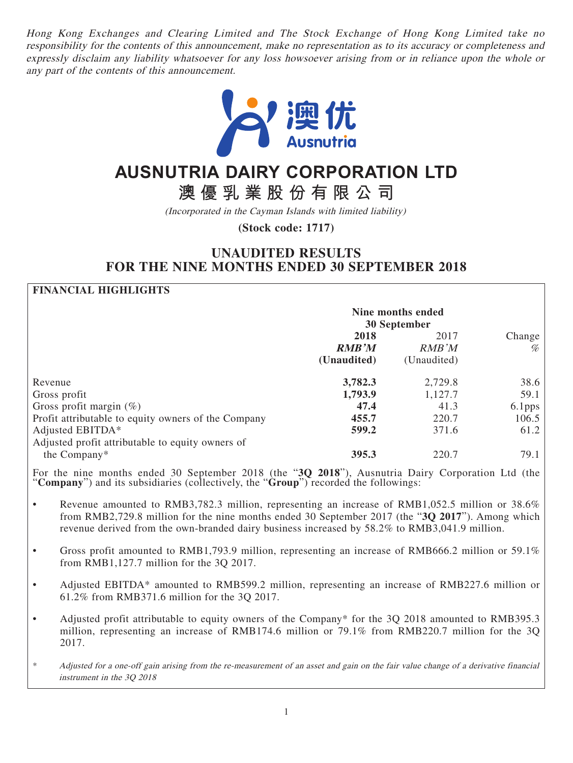Hong Kong Exchanges and Clearing Limited and The Stock Exchange of Hong Kong Limited take no responsibility for the contents of this announcement, make no representation as to its accuracy or completeness and expressly disclaim any liability whatsoever for any loss howsoever arising from or in reliance upon the whole or any part of the contents of this announcement.



# **AUSNUTRIA DAIRY CORPORATION LTD**

**澳優乳業股份有限公司**

(Incorporated in the Cayman Islands with limited liability)

**(Stock code: 1717)**

## **UNAUDITED RESULTS FOR THE NINE MONTHS ENDED 30 SEPTEMBER 2018**

### **FINANCIAL HIGHLIGHTS**

|                                                     | Nine months ended<br>30 September |             |           |
|-----------------------------------------------------|-----------------------------------|-------------|-----------|
|                                                     | 2018                              | 2017        | Change    |
|                                                     | <b>RMB'M</b>                      | RMB'M       | %         |
|                                                     | (Unaudited)                       | (Unaudited) |           |
| Revenue                                             | 3,782.3                           | 2,729.8     | 38.6      |
| Gross profit                                        | 1,793.9                           | 1,127.7     | 59.1      |
| Gross profit margin $(\%)$                          | 47.4                              | 41.3        | $6.1$ pps |
| Profit attributable to equity owners of the Company | 455.7                             | 220.7       | 106.5     |
| Adjusted EBITDA*                                    | 599.2                             | 371.6       | 61.2      |
| Adjusted profit attributable to equity owners of    |                                   |             |           |
| the Company*                                        | 395.3                             | 220.7       | 79.1      |

For the nine months ended 30 September 2018 (the "**3Q 2018**"), Ausnutria Dairy Corporation Ltd (the "**Company**") and its subsidiaries (collectively, the "**Group**") recorded the followings:

- Revenue amounted to RMB3,782.3 million, representing an increase of RMB1,052.5 million or 38.6% from RMB2,729.8 million for the nine months ended 30 September 2017 (the "**3Q 2017**"). Among which revenue derived from the own-branded dairy business increased by 58.2% to RMB3,041.9 million.
- Gross profit amounted to RMB1,793.9 million, representing an increase of RMB666.2 million or 59.1% from RMB1,127.7 million for the 3Q 2017.
- Adjusted EBITDA\* amounted to RMB599.2 million, representing an increase of RMB227.6 million or 61.2% from RMB371.6 million for the 3Q 2017.
- Adjusted profit attributable to equity owners of the Company\* for the 3Q 2018 amounted to RMB395.3 million, representing an increase of RMB174.6 million or 79.1% from RMB220.7 million for the 3Q 2017.
- \* Adjusted for a one-off gain arising from the re-measurement of an asset and gain on the fair value change of a derivative financial instrument in the 3Q 2018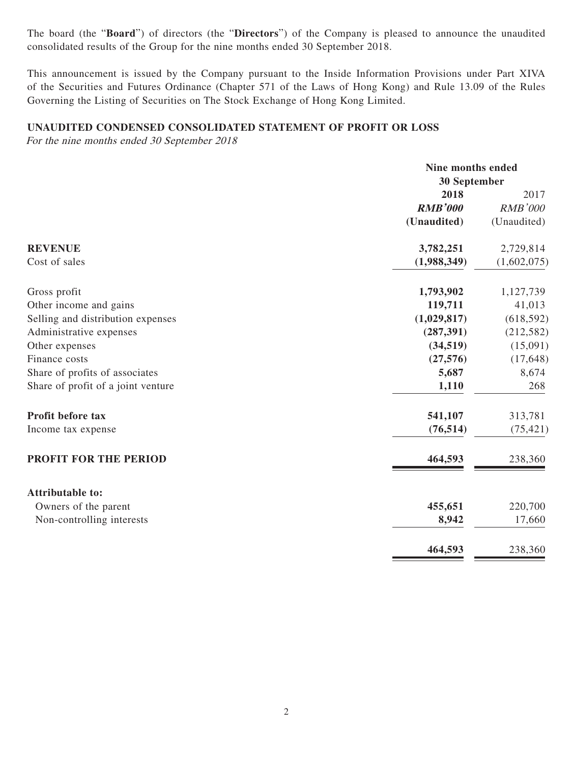The board (the "**Board**") of directors (the "**Directors**") of the Company is pleased to announce the unaudited consolidated results of the Group for the nine months ended 30 September 2018.

This announcement is issued by the Company pursuant to the Inside Information Provisions under Part XIVA of the Securities and Futures Ordinance (Chapter 571 of the Laws of Hong Kong) and Rule 13.09 of the Rules Governing the Listing of Securities on The Stock Exchange of Hong Kong Limited.

#### **UNAUDITED CONDENSED CONSOLIDATED STATEMENT OF PROFIT OR LOSS**

For the nine months ended 30 September 2018

|                                    |                | Nine months ended |  |
|------------------------------------|----------------|-------------------|--|
|                                    |                | 30 September      |  |
|                                    | 2018           | 2017              |  |
|                                    | <b>RMB'000</b> | <b>RMB'000</b>    |  |
|                                    | (Unaudited)    | (Unaudited)       |  |
| <b>REVENUE</b>                     | 3,782,251      | 2,729,814         |  |
| Cost of sales                      | (1,988,349)    | (1,602,075)       |  |
| Gross profit                       | 1,793,902      | 1,127,739         |  |
| Other income and gains             | 119,711        | 41,013            |  |
| Selling and distribution expenses  | (1,029,817)    | (618, 592)        |  |
| Administrative expenses            | (287, 391)     | (212, 582)        |  |
| Other expenses                     | (34,519)       | (15,091)          |  |
| Finance costs                      | (27, 576)      | (17, 648)         |  |
| Share of profits of associates     | 5,687          | 8,674             |  |
| Share of profit of a joint venture | 1,110          | 268               |  |
| Profit before tax                  | 541,107        | 313,781           |  |
| Income tax expense                 | (76, 514)      | (75, 421)         |  |
| PROFIT FOR THE PERIOD              | 464,593        | 238,360           |  |
| <b>Attributable to:</b>            |                |                   |  |
| Owners of the parent               | 455,651        | 220,700           |  |
| Non-controlling interests          | 8,942          | 17,660            |  |
|                                    | 464,593        | 238,360           |  |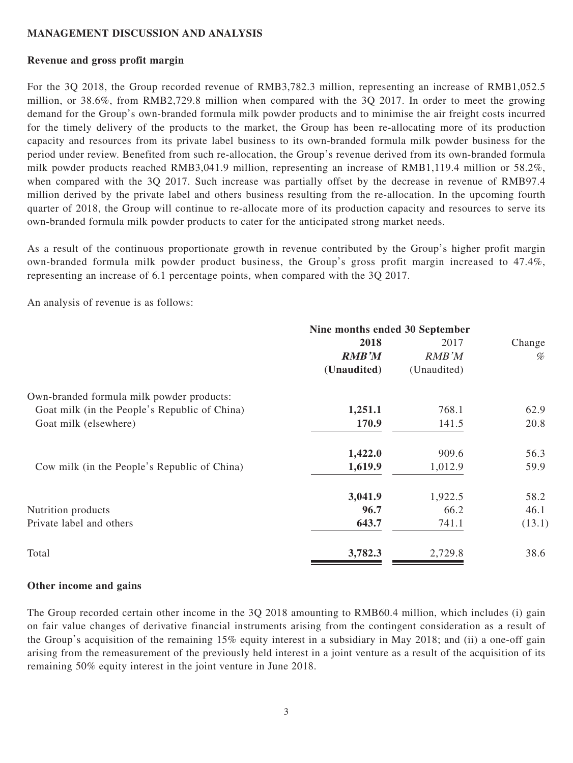#### **MANAGEMENT DISCUSSION AND ANALYSIS**

#### **Revenue and gross profit margin**

For the 3Q 2018, the Group recorded revenue of RMB3,782.3 million, representing an increase of RMB1,052.5 million, or 38.6%, from RMB2,729.8 million when compared with the 3Q 2017. In order to meet the growing demand for the Group's own-branded formula milk powder products and to minimise the air freight costs incurred for the timely delivery of the products to the market, the Group has been re-allocating more of its production capacity and resources from its private label business to its own-branded formula milk powder business for the period under review. Benefited from such re-allocation, the Group's revenue derived from its own-branded formula milk powder products reached RMB3,041.9 million, representing an increase of RMB1,119.4 million or 58.2%, when compared with the 3Q 2017. Such increase was partially offset by the decrease in revenue of RMB97.4 million derived by the private label and others business resulting from the re-allocation. In the upcoming fourth quarter of 2018, the Group will continue to re-allocate more of its production capacity and resources to serve its own-branded formula milk powder products to cater for the anticipated strong market needs.

As a result of the continuous proportionate growth in revenue contributed by the Group's higher profit margin own-branded formula milk powder product business, the Group's gross profit margin increased to 47.4%, representing an increase of 6.1 percentage points, when compared with the 3Q 2017.

An analysis of revenue is as follows:

|                                               | Nine months ended 30 September |             |        |  |
|-----------------------------------------------|--------------------------------|-------------|--------|--|
|                                               | 2018                           | 2017        | Change |  |
|                                               | <b>RMB'M</b>                   | RMB'M       | %      |  |
|                                               | (Unaudited)                    | (Unaudited) |        |  |
| Own-branded formula milk powder products:     |                                |             |        |  |
| Goat milk (in the People's Republic of China) | 1,251.1                        | 768.1       | 62.9   |  |
| Goat milk (elsewhere)                         | 170.9                          | 141.5       | 20.8   |  |
|                                               | 1,422.0                        | 909.6       | 56.3   |  |
| Cow milk (in the People's Republic of China)  | 1,619.9                        | 1,012.9     | 59.9   |  |
|                                               | 3,041.9                        | 1,922.5     | 58.2   |  |
| Nutrition products                            | 96.7                           | 66.2        | 46.1   |  |
| Private label and others                      | 643.7                          | 741.1       | (13.1) |  |
| Total                                         | 3,782.3                        | 2,729.8     | 38.6   |  |

#### **Other income and gains**

The Group recorded certain other income in the 3Q 2018 amounting to RMB60.4 million, which includes (i) gain on fair value changes of derivative financial instruments arising from the contingent consideration as a result of the Group's acquisition of the remaining 15% equity interest in a subsidiary in May 2018; and (ii) a one-off gain arising from the remeasurement of the previously held interest in a joint venture as a result of the acquisition of its remaining 50% equity interest in the joint venture in June 2018.